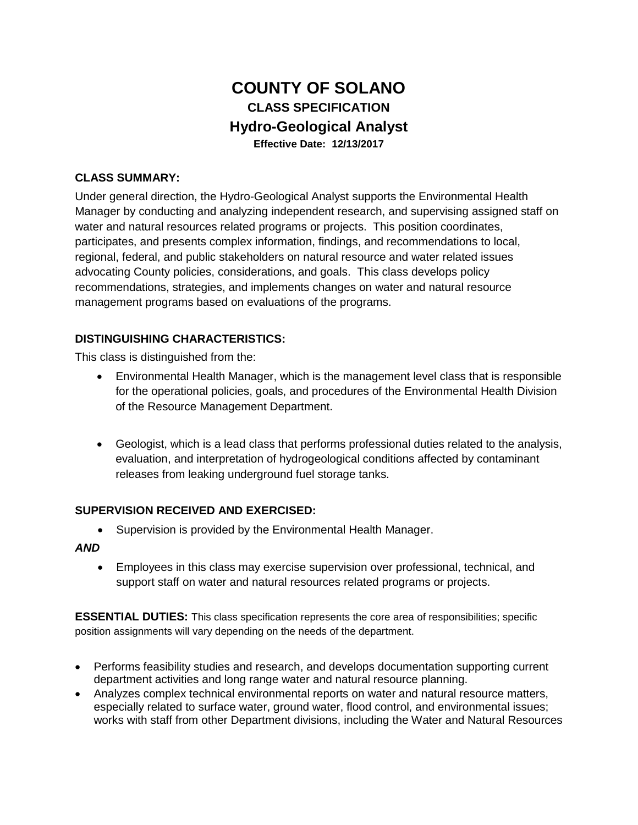# **COUNTY OF SOLANO CLASS SPECIFICATION Hydro-Geological Analyst Effective Date: 12/13/2017**

## **CLASS SUMMARY:**

Under general direction, the Hydro-Geological Analyst supports the Environmental Health Manager by conducting and analyzing independent research, and supervising assigned staff on water and natural resources related programs or projects. This position coordinates, participates, and presents complex information, findings, and recommendations to local, regional, federal, and public stakeholders on natural resource and water related issues advocating County policies, considerations, and goals. This class develops policy recommendations, strategies, and implements changes on water and natural resource management programs based on evaluations of the programs.

## **DISTINGUISHING CHARACTERISTICS:**

This class is distinguished from the:

- Environmental Health Manager, which is the management level class that is responsible for the operational policies, goals, and procedures of the Environmental Health Division of the Resource Management Department.
- Geologist, which is a lead class that performs professional duties related to the analysis, evaluation, and interpretation of hydrogeological conditions affected by contaminant releases from leaking underground fuel storage tanks.

#### **SUPERVISION RECEIVED AND EXERCISED:**

• Supervision is provided by the Environmental Health Manager.

#### *AND*

• Employees in this class may exercise supervision over professional, technical, and support staff on water and natural resources related programs or projects.

**ESSENTIAL DUTIES:** This class specification represents the core area of responsibilities; specific position assignments will vary depending on the needs of the department.

- Performs feasibility studies and research, and develops documentation supporting current department activities and long range water and natural resource planning.
- Analyzes complex technical environmental reports on water and natural resource matters, especially related to surface water, ground water, flood control, and environmental issues; works with staff from other Department divisions, including the Water and Natural Resources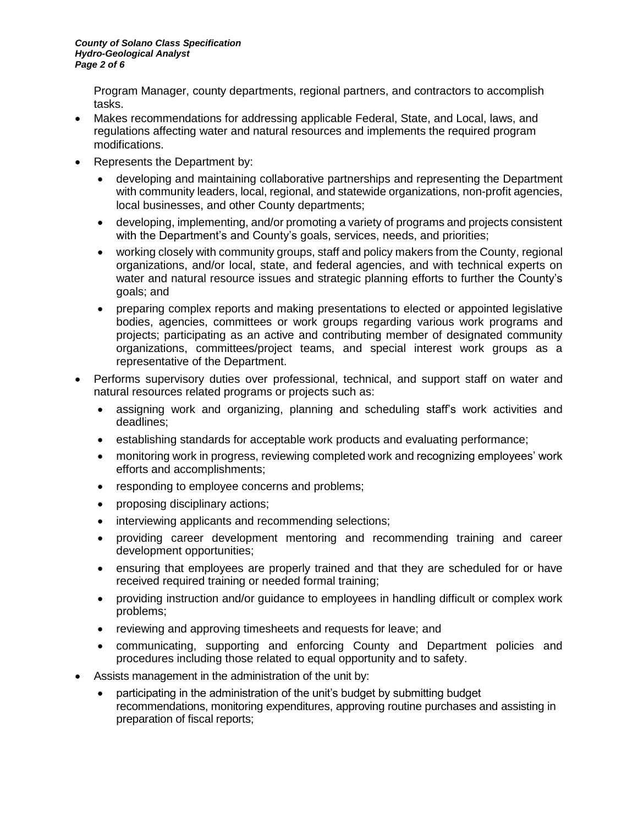Program Manager, county departments, regional partners, and contractors to accomplish tasks.

- Makes recommendations for addressing applicable Federal, State, and Local, laws, and regulations affecting water and natural resources and implements the required program modifications.
- Represents the Department by:
	- developing and maintaining collaborative partnerships and representing the Department with community leaders, local, regional, and statewide organizations, non-profit agencies, local businesses, and other County departments;
	- developing, implementing, and/or promoting a variety of programs and projects consistent with the Department's and County's goals, services, needs, and priorities;
	- working closely with community groups, staff and policy makers from the County, regional organizations, and/or local, state, and federal agencies, and with technical experts on water and natural resource issues and strategic planning efforts to further the County's goals; and
	- preparing complex reports and making presentations to elected or appointed legislative bodies, agencies, committees or work groups regarding various work programs and projects; participating as an active and contributing member of designated community organizations, committees/project teams, and special interest work groups as a representative of the Department.
- Performs supervisory duties over professional, technical, and support staff on water and natural resources related programs or projects such as:
	- assigning work and organizing, planning and scheduling staff's work activities and deadlines;
	- establishing standards for acceptable work products and evaluating performance;
	- monitoring work in progress, reviewing completed work and recognizing employees' work efforts and accomplishments;
	- responding to employee concerns and problems;
	- proposing disciplinary actions;
	- interviewing applicants and recommending selections;
	- providing career development mentoring and recommending training and career development opportunities;
	- ensuring that employees are properly trained and that they are scheduled for or have received required training or needed formal training;
	- providing instruction and/or guidance to employees in handling difficult or complex work problems;
	- reviewing and approving timesheets and requests for leave; and
	- communicating, supporting and enforcing County and Department policies and procedures including those related to equal opportunity and to safety.
- Assists management in the administration of the unit by:
	- participating in the administration of the unit's budget by submitting budget recommendations, monitoring expenditures, approving routine purchases and assisting in preparation of fiscal reports;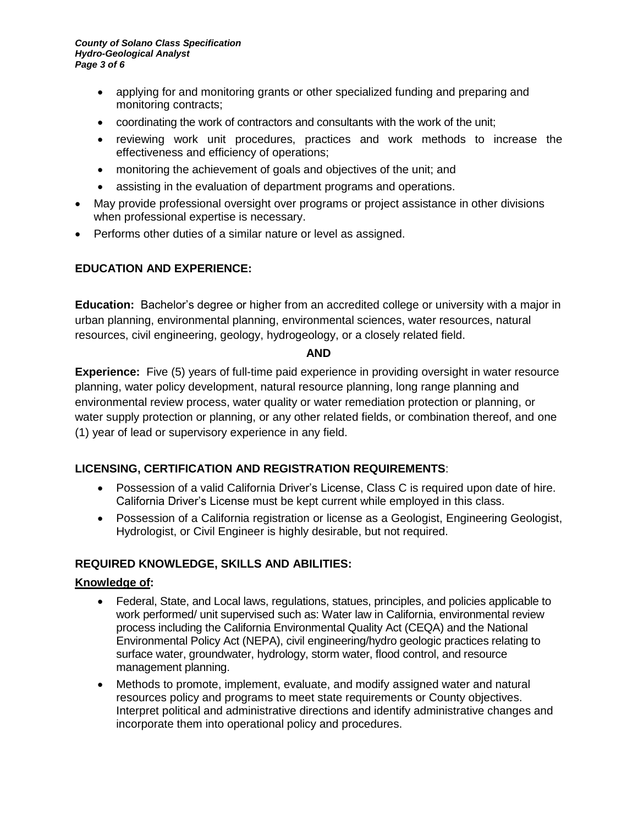- applying for and monitoring grants or other specialized funding and preparing and monitoring contracts;
- coordinating the work of contractors and consultants with the work of the unit;
- reviewing work unit procedures, practices and work methods to increase the effectiveness and efficiency of operations;
- monitoring the achievement of goals and objectives of the unit; and
- assisting in the evaluation of department programs and operations.
- May provide professional oversight over programs or project assistance in other divisions when professional expertise is necessary.
- Performs other duties of a similar nature or level as assigned.

# **EDUCATION AND EXPERIENCE:**

**Education:** Bachelor's degree or higher from an accredited college or university with a major in urban planning, environmental planning, environmental sciences, water resources, natural resources, civil engineering, geology, hydrogeology, or a closely related field.

#### **AND**

**Experience:** Five (5) years of full-time paid experience in providing oversight in water resource planning, water policy development, natural resource planning, long range planning and environmental review process, water quality or water remediation protection or planning, or water supply protection or planning, or any other related fields, or combination thereof, and one (1) year of lead or supervisory experience in any field.

# **LICENSING, CERTIFICATION AND REGISTRATION REQUIREMENTS**:

- Possession of a valid California Driver's License, Class C is required upon date of hire. California Driver's License must be kept current while employed in this class.
- Possession of a California registration or license as a Geologist, Engineering Geologist, Hydrologist, or Civil Engineer is highly desirable, but not required.

#### **REQUIRED KNOWLEDGE, SKILLS AND ABILITIES:**

#### **Knowledge of:**

- Federal, State, and Local laws, regulations, statues, principles, and policies applicable to work performed/ unit supervised such as: Water law in California, environmental review process including the California Environmental Quality Act (CEQA) and the National Environmental Policy Act (NEPA), civil engineering/hydro geologic practices relating to surface water, groundwater, hydrology, storm water, flood control, and resource management planning.
- Methods to promote, implement, evaluate, and modify assigned water and natural resources policy and programs to meet state requirements or County objectives. Interpret political and administrative directions and identify administrative changes and incorporate them into operational policy and procedures.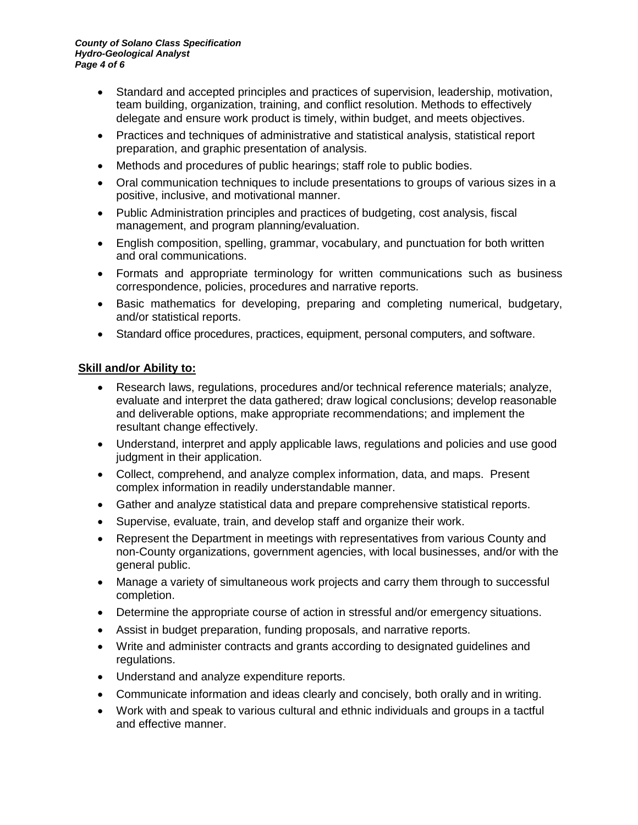- Standard and accepted principles and practices of supervision, leadership, motivation, team building, organization, training, and conflict resolution. Methods to effectively delegate and ensure work product is timely, within budget, and meets objectives.
- Practices and techniques of administrative and statistical analysis, statistical report preparation, and graphic presentation of analysis.
- Methods and procedures of public hearings; staff role to public bodies.
- Oral communication techniques to include presentations to groups of various sizes in a positive, inclusive, and motivational manner.
- Public Administration principles and practices of budgeting, cost analysis, fiscal management, and program planning/evaluation.
- English composition, spelling, grammar, vocabulary, and punctuation for both written and oral communications.
- Formats and appropriate terminology for written communications such as business correspondence, policies, procedures and narrative reports.
- Basic mathematics for developing, preparing and completing numerical, budgetary, and/or statistical reports.
- Standard office procedures, practices, equipment, personal computers, and software.

## **Skill and/or Ability to:**

- Research laws, regulations, procedures and/or technical reference materials; analyze, evaluate and interpret the data gathered; draw logical conclusions; develop reasonable and deliverable options, make appropriate recommendations; and implement the resultant change effectively.
- Understand, interpret and apply applicable laws, regulations and policies and use good judgment in their application.
- Collect, comprehend, and analyze complex information, data, and maps. Present complex information in readily understandable manner.
- Gather and analyze statistical data and prepare comprehensive statistical reports.
- Supervise, evaluate, train, and develop staff and organize their work.
- Represent the Department in meetings with representatives from various County and non-County organizations, government agencies, with local businesses, and/or with the general public.
- Manage a variety of simultaneous work projects and carry them through to successful completion.
- Determine the appropriate course of action in stressful and/or emergency situations.
- Assist in budget preparation, funding proposals, and narrative reports.
- Write and administer contracts and grants according to designated guidelines and regulations.
- Understand and analyze expenditure reports.
- Communicate information and ideas clearly and concisely, both orally and in writing.
- Work with and speak to various cultural and ethnic individuals and groups in a tactful and effective manner.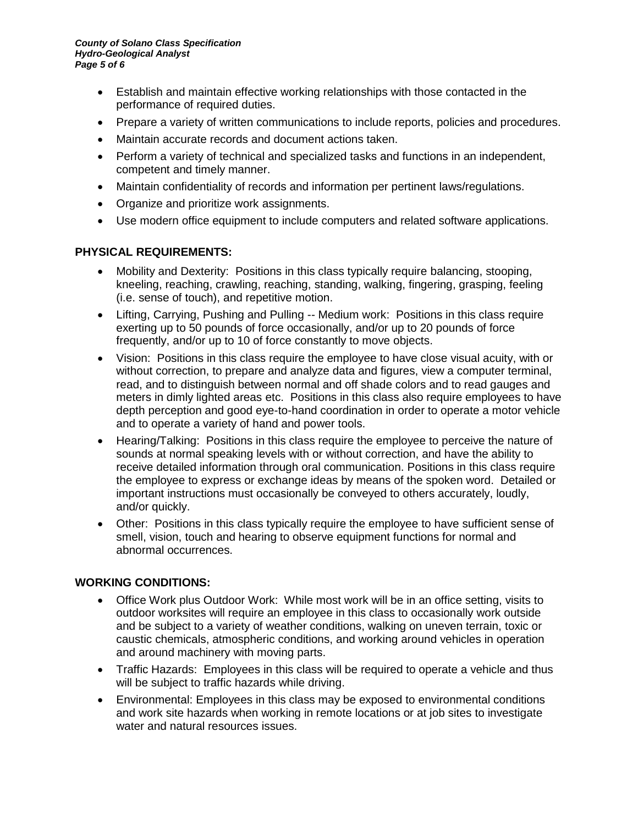- Establish and maintain effective working relationships with those contacted in the performance of required duties.
- Prepare a variety of written communications to include reports, policies and procedures.
- Maintain accurate records and document actions taken.
- Perform a variety of technical and specialized tasks and functions in an independent, competent and timely manner.
- Maintain confidentiality of records and information per pertinent laws/regulations.
- Organize and prioritize work assignments.
- Use modern office equipment to include computers and related software applications.

## **PHYSICAL REQUIREMENTS:**

- Mobility and Dexterity: Positions in this class typically require balancing, stooping, kneeling, reaching, crawling, reaching, standing, walking, fingering, grasping, feeling (i.e. sense of touch), and repetitive motion.
- Lifting, Carrying, Pushing and Pulling -- Medium work: Positions in this class require exerting up to 50 pounds of force occasionally, and/or up to 20 pounds of force frequently, and/or up to 10 of force constantly to move objects.
- Vision: Positions in this class require the employee to have close visual acuity, with or without correction, to prepare and analyze data and figures, view a computer terminal, read, and to distinguish between normal and off shade colors and to read gauges and meters in dimly lighted areas etc. Positions in this class also require employees to have depth perception and good eye-to-hand coordination in order to operate a motor vehicle and to operate a variety of hand and power tools.
- Hearing/Talking: Positions in this class require the employee to perceive the nature of sounds at normal speaking levels with or without correction, and have the ability to receive detailed information through oral communication. Positions in this class require the employee to express or exchange ideas by means of the spoken word. Detailed or important instructions must occasionally be conveyed to others accurately, loudly, and/or quickly.
- Other: Positions in this class typically require the employee to have sufficient sense of smell, vision, touch and hearing to observe equipment functions for normal and abnormal occurrences.

#### **WORKING CONDITIONS:**

- Office Work plus Outdoor Work: While most work will be in an office setting, visits to outdoor worksites will require an employee in this class to occasionally work outside and be subject to a variety of weather conditions, walking on uneven terrain, toxic or caustic chemicals, atmospheric conditions, and working around vehicles in operation and around machinery with moving parts.
- Traffic Hazards: Employees in this class will be required to operate a vehicle and thus will be subject to traffic hazards while driving.
- Environmental: Employees in this class may be exposed to environmental conditions and work site hazards when working in remote locations or at job sites to investigate water and natural resources issues.